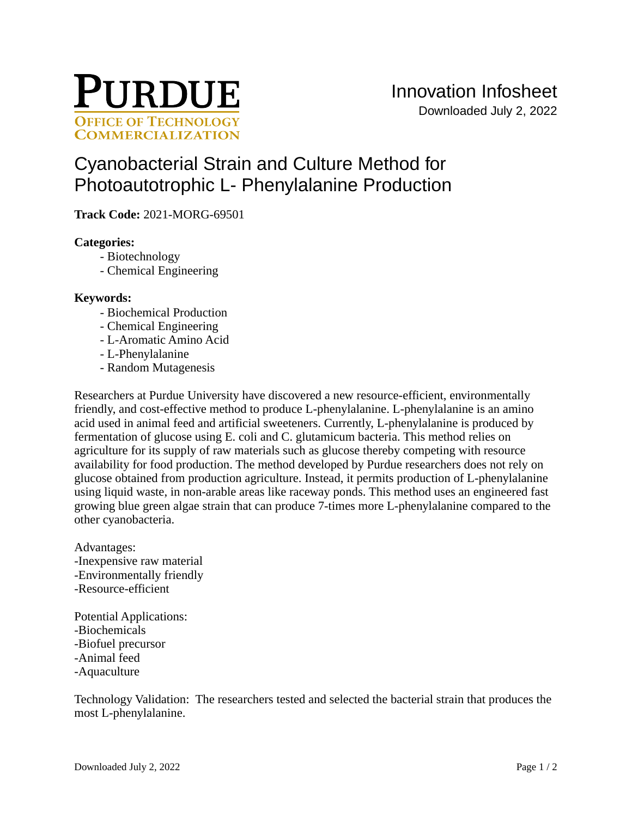

# [Cyanobacterial Strain and Culture Method for](https://inventions.prf.org/innovation/8112)  [Photoautotrophic L- Phenylalanine Production](https://inventions.prf.org/innovation/8112)

**Track Code:** 2021-MORG-69501

## **Categories:**

- Biotechnology
- Chemical Engineering

## **Keywords:**

- Biochemical Production
- Chemical Engineering
- L-Aromatic Amino Acid
- L-Phenylalanine
- Random Mutagenesis

Researchers at Purdue University have discovered a new resource-efficient, environmentally friendly, and cost-effective method to produce L-phenylalanine. L-phenylalanine is an amino acid used in animal feed and artificial sweeteners. Currently, L-phenylalanine is produced by fermentation of glucose using E. coli and C. glutamicum bacteria. This method relies on agriculture for its supply of raw materials such as glucose thereby competing with resource availability for food production. The method developed by Purdue researchers does not rely on glucose obtained from production agriculture. Instead, it permits production of L-phenylalanine using liquid waste, in non-arable areas like raceway ponds. This method uses an engineered fast growing blue green algae strain that can produce 7-times more L-phenylalanine compared to the other cyanobacteria.

Advantages: -Inexpensive raw material -Environmentally friendly -Resource-efficient

Potential Applications: -Biochemicals -Biofuel precursor -Animal feed -Aquaculture

Technology Validation: The researchers tested and selected the bacterial strain that produces the most L-phenylalanine.